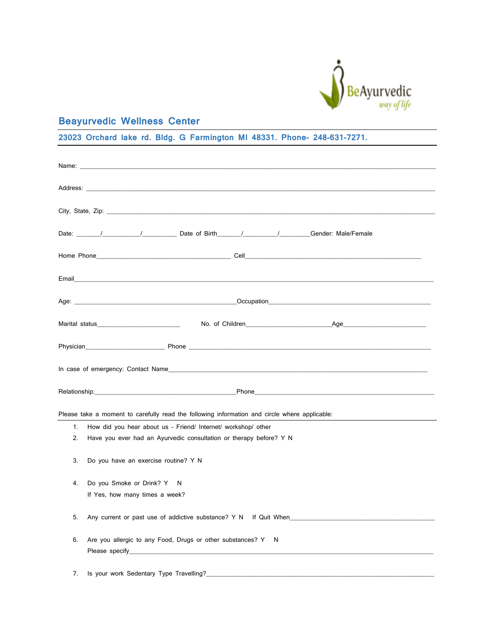

## **Beayurvedic Wellness Center**

**23023 Orchard lake rd. Bldg. G Farmington MI 48331. Phone- 248-631-7271.**

|    |                                                                                                                                                                                                                                                                                                      | Date: // // // Date of Birth // // // // Gender: Male/Female                                  |                                                                                                                                                                                                                                |  |  |
|----|------------------------------------------------------------------------------------------------------------------------------------------------------------------------------------------------------------------------------------------------------------------------------------------------------|-----------------------------------------------------------------------------------------------|--------------------------------------------------------------------------------------------------------------------------------------------------------------------------------------------------------------------------------|--|--|
|    |                                                                                                                                                                                                                                                                                                      |                                                                                               |                                                                                                                                                                                                                                |  |  |
|    |                                                                                                                                                                                                                                                                                                      |                                                                                               |                                                                                                                                                                                                                                |  |  |
|    |                                                                                                                                                                                                                                                                                                      |                                                                                               |                                                                                                                                                                                                                                |  |  |
|    |                                                                                                                                                                                                                                                                                                      |                                                                                               | Marital status experiments and the Mondo Children and Mondo Children and Age and Age and Age and Age and Age and Age and Age and Age and Age and Age and Age and Age and Age and Age and Age and Age and Age and Age and Age a |  |  |
|    |                                                                                                                                                                                                                                                                                                      |                                                                                               |                                                                                                                                                                                                                                |  |  |
|    |                                                                                                                                                                                                                                                                                                      |                                                                                               |                                                                                                                                                                                                                                |  |  |
|    |                                                                                                                                                                                                                                                                                                      |                                                                                               |                                                                                                                                                                                                                                |  |  |
|    |                                                                                                                                                                                                                                                                                                      | Please take a moment to carefully read the following information and circle where applicable: |                                                                                                                                                                                                                                |  |  |
| 1. |                                                                                                                                                                                                                                                                                                      | How did you hear about us - Friend/ Internet/ workshop/ other                                 |                                                                                                                                                                                                                                |  |  |
| 2. |                                                                                                                                                                                                                                                                                                      | Have you ever had an Ayurvedic consultation or therapy before? Y N                            |                                                                                                                                                                                                                                |  |  |
|    | 3.<br>Do you have an exercise routine? Y N                                                                                                                                                                                                                                                           |                                                                                               |                                                                                                                                                                                                                                |  |  |
| 4. | Do you Smoke or Drink? Y N                                                                                                                                                                                                                                                                           |                                                                                               |                                                                                                                                                                                                                                |  |  |
|    | If Yes, how many times a week?                                                                                                                                                                                                                                                                       |                                                                                               |                                                                                                                                                                                                                                |  |  |
|    | 5.<br>Any current or past use of addictive substance? Y N If Quit When                                                                                                                                                                                                                               |                                                                                               |                                                                                                                                                                                                                                |  |  |
|    | 6.<br>Are you allergic to any Food, Drugs or other substances? Y N<br>Please specify and the state of the state of the state of the state of the state of the state of the state of the state of the state of the state of the state of the state of the state of the state of the state of the stat |                                                                                               |                                                                                                                                                                                                                                |  |  |
| 7. | Is your work Sedentary Type Travelling?                                                                                                                                                                                                                                                              |                                                                                               |                                                                                                                                                                                                                                |  |  |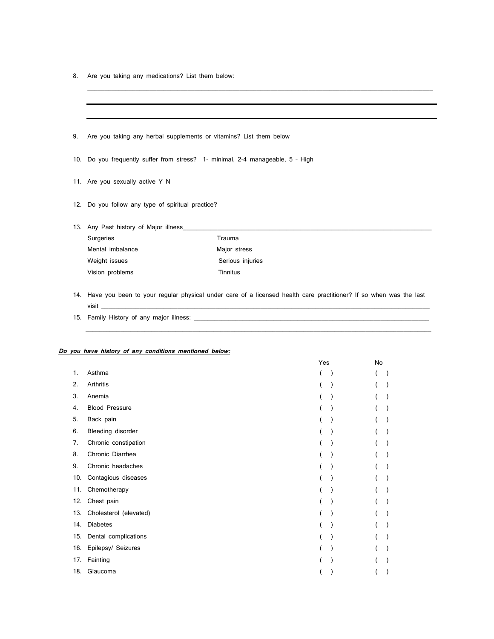8. Are you taking any medications? List them below:

| 9. | Are you taking any herbal supplements or vitamins? List them below             |                  |  |  |  |
|----|--------------------------------------------------------------------------------|------------------|--|--|--|
|    |                                                                                |                  |  |  |  |
|    | 10. Do you frequently suffer from stress? 1- minimal, 2-4 manageable, 5 - High |                  |  |  |  |
|    | 11. Are you sexually active Y N                                                |                  |  |  |  |
|    | 12. Do you follow any type of spiritual practice?                              |                  |  |  |  |
|    | 13. Any Past history of Major illness                                          |                  |  |  |  |
|    | Surgeries                                                                      | Trauma           |  |  |  |
|    | Mental imbalance                                                               | Major stress     |  |  |  |
|    | Weight issues                                                                  | Serious injuries |  |  |  |
|    | Vision problems                                                                | Tinnitus         |  |  |  |
|    |                                                                                |                  |  |  |  |

\_\_\_\_\_\_\_\_\_\_\_\_\_\_\_\_\_\_\_\_\_\_\_\_\_\_\_\_\_\_\_\_\_\_\_\_\_\_\_\_\_\_\_\_\_\_\_\_\_\_\_\_\_\_\_\_\_\_\_\_\_\_\_\_\_\_\_\_\_\_\_\_\_\_\_\_\_\_\_\_\_\_\_\_\_\_\_\_\_\_\_\_\_\_\_\_\_\_\_\_

14. Have you been to your regular physical under care of a licensed health care practitioner? If so when was the last visit \_\_\_\_\_\_\_\_\_\_\_\_\_\_\_\_\_\_\_\_\_\_\_\_\_\_\_\_\_\_\_\_\_\_\_\_\_\_\_\_\_\_\_\_\_\_\_\_\_\_\_\_\_\_\_\_\_\_\_\_\_\_\_\_\_\_\_\_\_\_\_\_\_\_\_\_\_\_\_\_\_\_\_\_\_\_\_\_\_\_\_\_\_\_\_

 $\_$  ,  $\_$  ,  $\_$  ,  $\_$  ,  $\_$  ,  $\_$  ,  $\_$  ,  $\_$  ,  $\_$  ,  $\_$  ,  $\_$  ,  $\_$  ,  $\_$  ,  $\_$  ,  $\_$  ,  $\_$  ,  $\_$  ,  $\_$  ,  $\_$  ,  $\_$  ,  $\_$  ,  $\_$  ,  $\_$  ,  $\_$  ,  $\_$  ,  $\_$  ,  $\_$  ,  $\_$  ,  $\_$  ,  $\_$  ,  $\_$  ,  $\_$  ,  $\_$  ,  $\_$  ,  $\_$  ,  $\_$  ,  $\_$  ,

15. Family History of any major illness: \_\_\_\_\_\_\_\_\_\_\_\_\_\_\_\_\_\_\_\_\_\_\_\_\_\_\_\_\_\_\_\_\_\_\_\_\_\_\_\_\_\_\_\_\_\_\_\_\_\_\_\_\_\_\_\_\_\_\_\_\_\_\_\_\_\_\_\_

## **Do you have history of any conditions mentioned below:**

|     |                        | Yes |  | No |  |  |
|-----|------------------------|-----|--|----|--|--|
| 1.  | Asthma                 |     |  |    |  |  |
| 2.  | Arthritis              |     |  |    |  |  |
| 3.  | Anemia                 |     |  |    |  |  |
| 4.  | <b>Blood Pressure</b>  |     |  |    |  |  |
| 5.  | Back pain              |     |  |    |  |  |
| 6.  | Bleeding disorder      |     |  |    |  |  |
| 7.  | Chronic constipation   |     |  |    |  |  |
| 8.  | Chronic Diarrhea       |     |  |    |  |  |
| 9.  | Chronic headaches      |     |  |    |  |  |
| 10. | Contagious diseases    |     |  |    |  |  |
| 11. | Chemotherapy           |     |  |    |  |  |
| 12. | Chest pain             |     |  |    |  |  |
| 13. | Cholesterol (elevated) |     |  |    |  |  |
| 14. | <b>Diabetes</b>        |     |  |    |  |  |
| 15. | Dental complications   |     |  |    |  |  |
| 16. | Epilepsy/ Seizures     |     |  |    |  |  |
| 17. | Fainting               |     |  |    |  |  |
| 18. | Glaucoma               |     |  |    |  |  |
|     |                        |     |  |    |  |  |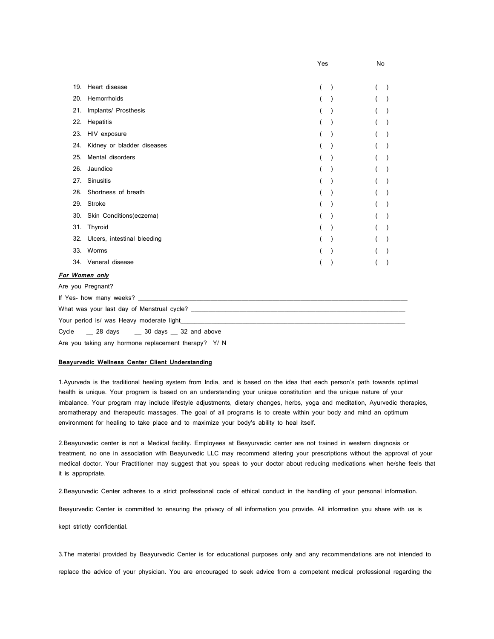|                                                                                                                |                             | Yes |  | No |  |  |
|----------------------------------------------------------------------------------------------------------------|-----------------------------|-----|--|----|--|--|
|                                                                                                                |                             |     |  |    |  |  |
| 19.                                                                                                            | Heart disease               |     |  |    |  |  |
| 20.                                                                                                            | Hemorrhoids                 |     |  |    |  |  |
|                                                                                                                | 21. Implants/ Prosthesis    |     |  |    |  |  |
| 22.                                                                                                            | Hepatitis                   |     |  |    |  |  |
|                                                                                                                | 23. HIV exposure            |     |  |    |  |  |
| 24.                                                                                                            | Kidney or bladder diseases  |     |  |    |  |  |
| 25.                                                                                                            | Mental disorders            |     |  |    |  |  |
| 26.                                                                                                            | Jaundice                    |     |  |    |  |  |
| 27.                                                                                                            | Sinusitis                   |     |  |    |  |  |
|                                                                                                                | 28. Shortness of breath     |     |  |    |  |  |
|                                                                                                                | 29. Stroke                  |     |  |    |  |  |
|                                                                                                                | 30. Skin Conditions(eczema) |     |  |    |  |  |
|                                                                                                                | 31. Thyroid                 |     |  |    |  |  |
| 32.                                                                                                            | Ulcers, intestinal bleeding |     |  |    |  |  |
|                                                                                                                | 33. Worms                   |     |  |    |  |  |
|                                                                                                                | 34. Veneral disease         |     |  |    |  |  |
|                                                                                                                | For Women only              |     |  |    |  |  |
| Are you Pregnant?                                                                                              |                             |     |  |    |  |  |
|                                                                                                                |                             |     |  |    |  |  |
|                                                                                                                |                             |     |  |    |  |  |
| Your period is/ was Heavy moderate light example and a series of the series of the series of the series of the |                             |     |  |    |  |  |
| 28 days 30 days 32 and above<br>Cycle                                                                          |                             |     |  |    |  |  |

Are you taking any hormone replacement therapy? Y/ N

## **Beayurvedic Wellness Center Client Understanding**

1.Ayurveda is the traditional healing system from India, and is based on the idea that each person's path towards optimal health is unique. Your program is based on an understanding your unique constitution and the unique nature of your imbalance. Your program may include lifestyle adjustments, dietary changes, herbs, yoga and meditation, Ayurvedic therapies, aromatherapy and therapeutic massages. The goal of all programs is to create within your body and mind an optimum environment for healing to take place and to maximize your body's ability to heal itself.

2.Beayurvedic center is not a Medical facility. Employees at Beayurvedic center are not trained in western diagnosis or treatment, no one in association with Beayurvedic LLC may recommend altering your prescriptions without the approval of your medical doctor. Your Practitioner may suggest that you speak to your doctor about reducing medications when he/she feels that it is appropriate.

2.Beayurvedic Center adheres to a strict professional code of ethical conduct in the handling of your personal information.

Beayurvedic Center is committed to ensuring the privacy of all information you provide. All information you share with us is

kept strictly confidential.

3.The material provided by Beayurvedic Center is for educational purposes only and any recommendations are not intended to replace the advice of your physician. You are encouraged to seek advice from a competent medical professional regarding the